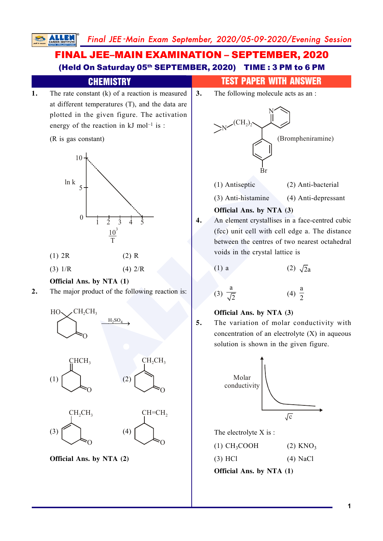

## **1**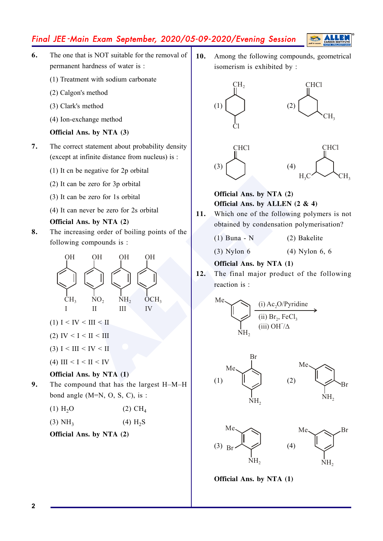# Final JEE -Main Exam September, 2020/05-09-2020/Evening Session

- **6.** The one that is NOT suitable for the removal of permanent hardness of water is :
	- (1) Treatment with sodium carbonate
	- (2) Calgon's method
	- (3) Clark's method
	- (4) Ion-exchange method

## **Official Ans. by NTA (3)**

- **7.** The correct statement about probability density (except at infinite distance from nucleus) is :
	- (1) It cn be negative for 2p orbital
	- (2) It can be zero for 3p orbital
	- (3) It can be zero for 1s orbital
	- (4) It can never be zero for 2s orbital

## **Official Ans. by NTA (2)**

**8.** The increasing order of boiling points of the following compounds is :



- (1)  $I \leq IV \leq III \leq II$
- (2) IV < I < II < III
- (3)  $I < III < IV < II$
- (4) III <  $I < II < IV$

## **Official Ans. by NTA (1)**

**9.** The compound that has the largest H–M–H bond angle  $(M=N, O, S, C)$ , is :

| $(1)$ H <sub>2</sub> O | $(2)$ CH <sub>4</sub> |
|------------------------|-----------------------|
|------------------------|-----------------------|

| (3) NH <sub>3</sub> | $(4) H_2S$ |
|---------------------|------------|
|---------------------|------------|

## **Official Ans. by NTA (2)**

10. Among the following compounds, geometrical isomerism is exhibited by :



## **Official Ans. by NTA (2) Official Ans.** by ALLEN  $(2 \& 4)$

- 11. Which one of the following polymers is not obtained by condensation polymerisation?
	- (1) Buna N (2) Bakelite
	- (3) Nylon 6 (4) Nylon 6, 6

## **Official Ans. by NTA (1)**

12. The final major product of the following reaction is :

$$
\begin{picture}(150,10) \put(0,0){\line(1,0){10}} \put(15,0){\line(1,0){10}} \put(15,0){\line(1,0){10}} \put(15,0){\line(1,0){10}} \put(15,0){\line(1,0){10}} \put(15,0){\line(1,0){10}} \put(15,0){\line(1,0){10}} \put(15,0){\line(1,0){10}} \put(15,0){\line(1,0){10}} \put(15,0){\line(1,0){10}} \put(15,0){\line(1,0){10}} \put(15,0){\line(1,0){10}} \put(15,0){\line(1,0){10}} \put(15,0){\line(1,0){10}} \put(15,0){\line(1,0){10}} \put(15,0){\line(1,0){10}} \put(15,0){\line(1,0){10}} \put(15,0){\line(1,0){10}} \put(15,0){\line(1,0){10}} \put(15,0){\line(1,0){10}} \put(15,0){\line(1,0){10}} \put(15,0){\line(1,0){10}} \put(15,0){\line(1,0){10}} \put(15,0){\line(1,0){10}} \put(15,0){\line(1,0){10}} \put(15,0){\line(1,0){10}} \put(15,0){\line(1,0){10}} \put(15,0){\line(1,0){10}} \put(15,0){\line(1,0){10}} \put(15,0){\line(1,0){10}} \put(15,0){\line(1,0){10}} \put(15,0){\line(1,0){10}} \put(15,0){\line(1,0){10}} \put(15,0){\line(1,0){10}} \put(15,0){\line(1,0){10}} \put(15,0){\line(1,0){10}} \put(15,0){\line(1,0){10}} \put(15,0){\line(1,0){10}} \put(15,0){\line(1,0){10}} \put(15,0){\line(1,0){10}} \put(15,0){\line(1,0){10}} \put(15,0){\line(
$$





**Official Ans. by NTA (1)**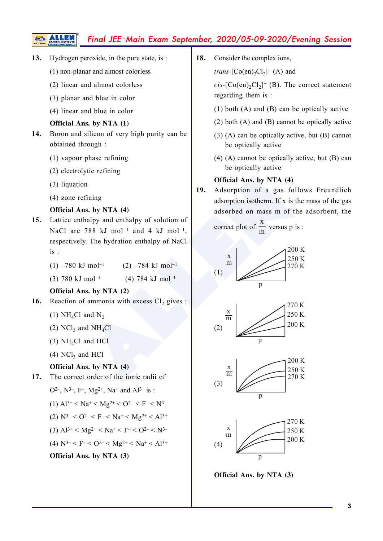# Final JEE -Main Exam September, 2020/05-09-2020/Evening Session

- **13.** Hydrogen peroxide, in the pure state, is :
	- (1) non-planar and almost colorless
	- (2) linear and almost colorless
	- (3) planar and blue in color
	- (4) linear and blue in color

#### **Official Ans. by NTA (1)**

- 14. Boron and silicon of very high purity can be obtained through :
	- (1) vapour phase refining
	- (2) electrolytic refining
	- (3) liquation
	- (4) zone refining

#### **Official Ans. by NTA (4)**

- 15. Lattice enthalpy and enthalpy of solution of NaCl are  $788 \text{ kJ}$  mol<sup>-1</sup> and 4 kJ mol<sup>-1</sup>, respectively. The hydration enthalpy of NaCl is :
	- (1) –780 kJ mol<sup>-1</sup> (2) –784 kJ mol<sup>-1</sup>
	- (3) 780 kJ mol<sup>-1</sup> (4) 784 kJ mol<sup>-1</sup>

#### **Official Ans. by NTA (2)**

- **16.** Reaction of ammonia with excess  $Cl_2$  gives :
	- (1)  $NH_4Cl$  and  $N_2$
	- (2)  $NCl_3$  and  $NH_4Cl$
	- $(3)$  NH<sub>4</sub>Cl and HCl
	- $(4)$  NCl<sub>3</sub> and HCl

#### **Official Ans. by NTA (4)**

- 17. The correct order of the ionic radii of
	- O<sup>2–</sup>, N<sup>3–</sup>, F<sup>–</sup>, Mg<sup>2+</sup>, Na<sup>+</sup> and Al<sup>3+</sup> is :
	- (1)  $Al^{3+} < Na^{+} < Mg^{2+} < O^{2-} < F^{-} < N^{3-}$
	- (2)  $N^{3-} < 0^{2-} < F^{-} < Na^{+} < Mg^{2+} < A^{13+}$
	- (3)  $Al^{3+} < Mg^{2+} < Na^{+} < F^{-} < O^{2-} < N^{3-}$
	- (4)  $N^{3-} < F^{-} < 0^{2-} < Mg^{2+} < Na^{+} < A^{3+}$

**Official Ans. by NTA (3)** 

18. Consider the complex ions,

*trans*-[ $Co(en)_2Cl_2$ ]<sup>+</sup> (A) and

 $cis$ - $[Co(en)_2Cl_2]^+$  (B). The correct statement regarding them is :

- (1) both (A) and (B) can be optically active
- (2) both (A) and (B) cannot be optically active
- (3) (A) can be optically active, but (B) cannot be optically active
- (4) (A) cannot be optically active, but (B) can be optically active

#### **Official Ans. by NTA (4)**

19. Adsorption of a gas follows Freundlich adsorption isotherm. If x is the mass of the gas adsorbed on mass m of the adsorbent, the

correct plot of 
$$
\frac{x}{m}
$$
 versus p is :









**Official Ans. by NTA (3)**